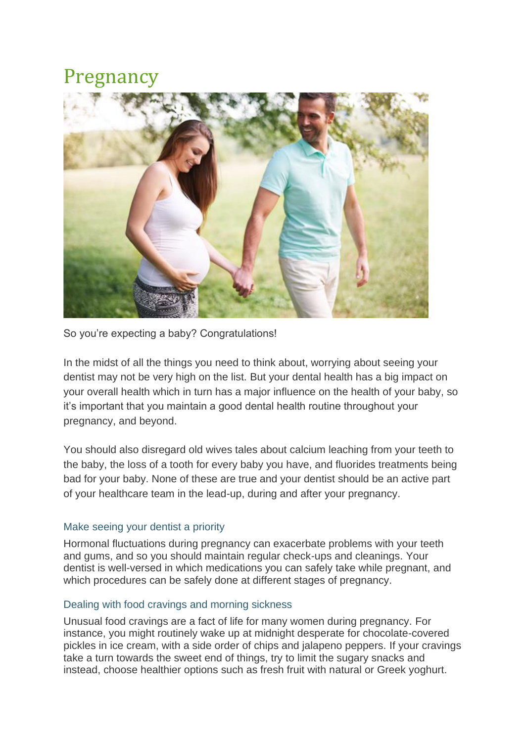## Pregnancy



So you're expecting a baby? Congratulations!

In the midst of all the things you need to think about, worrying about seeing your dentist may not be very high on the list. But your dental health has a big impact on your overall health which in turn has a major influence on the health of your baby, so it's important that you maintain a good dental health routine throughout your pregnancy, and beyond.

You should also disregard old wives tales about calcium leaching from your teeth to the baby, the loss of a tooth for every baby you have, and fluorides treatments being bad for your baby. None of these are true and your dentist should be an active part of your healthcare team in the lead-up, during and after your pregnancy.

## Make seeing your dentist a priority

Hormonal fluctuations during pregnancy can exacerbate problems with your teeth and gums, and so you should maintain regular check-ups and cleanings. Your dentist is well-versed in which medications you can safely take while pregnant, and which procedures can be safely done at different stages of pregnancy.

## Dealing with food cravings and morning sickness

Unusual food cravings are a fact of life for many women during pregnancy. For instance, you might routinely wake up at midnight desperate for chocolate-covered pickles in ice cream, with a side order of chips and jalapeno peppers. If your cravings take a turn towards the sweet end of things, try to limit the sugary snacks and instead, choose healthier options such as fresh fruit with natural or Greek yoghurt.